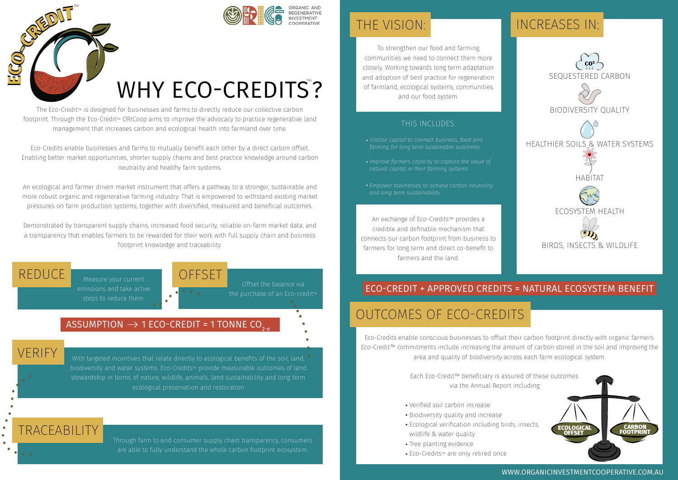



Offset the balance via

# WHY ECO-CREDITS?

The Eco-Credit™ is designed for businesses and farms to directly reduce our collective carbon footprint. Through the Eco-Credit™ ORICoop aims to improve the advocacy to practice regenerative land management that increases carbon and ecological health into farmland over time.

Eco-Credits enable businesses and farms to mutually benefit each other by a direct carbon offset. Enabling better market opportunities, shorter supply chains and best practice knowledge around carbon neutrality and healthy farm systems.

An ecological and farmer driven market instrument that offers a pathway to a stronger, sustainable and more robust organic and regenerative farming industry. That is empowered to withstand existing market pressures on farm production systems, together with diversified, measured and beneficial outcomes.

Demonstrated by transparent supply chains, increased food security, reliable on-farm market data, and a transparency that enables farmers to be rewarded for their work with full supply chain and business footprint knowledge and traceability.

REDUCE

TRACEABILITY

VERIFY

emissions and take active steps to reduce them.

### ASSUMPTION  $\rightarrow$  1 ECO-CREDIT = 1 TONNE CO<sub>2</sub>.

With targeted incentives that relate directly to ecological benefits of the soil, land, biodiversity and water systems. Eco-Credits™ provide measurable outcomes of land stewardship in terms of nature, wildlife, animals, land sustainability and long term ecological preservation and restoration

**OFFSET** 

Through farm to end consumer supply chain transparency, consumers are able to fully understand the whole carbon footprint ecosystem.

To strengthen our food and farming communities we need to connect them more closely. Working towards long term adaptation and adoption of best practice for regeneration of farmland, ecological systems, communities and our food system.

#### THIS INCLUDES:

- *Vitalise capital to connect business, food and farming for long term sustainable outcomes*
- *natural capital in their farming systems*
- *Empower businesses to achieve carbon neutrality and long term sustainability*

An exchange of Eco-Credits™ provides a credible and definable mechanism that connects our carbon footprint from business to farmers for long term and direct co-benefit to farmers and the land.

## THE VISION: **INCREASES IN:**



## ECO-CREDIT + APPROVED CREDITS = NATURAL ECOSYSTEM BENEFIT

## OUTCOMES OF ECO-CREDITS

 area and quality of biodiversity across each farm ecological system. Eco-Credits enable conscious businesses to offset their carbon footprint directly with organic farmers. Eco-Credit™ commitments include increasing the amount of carbon stored in the soil and improving the

> Each Eco-Credit™ beneficiary is assured of these outcomes via the Annual Report including:

- Verified soil carbon increase
- Biodiversity quality and increase
- Ecological verification including birds, insects, wildlife & water quality
- Tree planting evidence
- Eco-Credits™ are only retired once

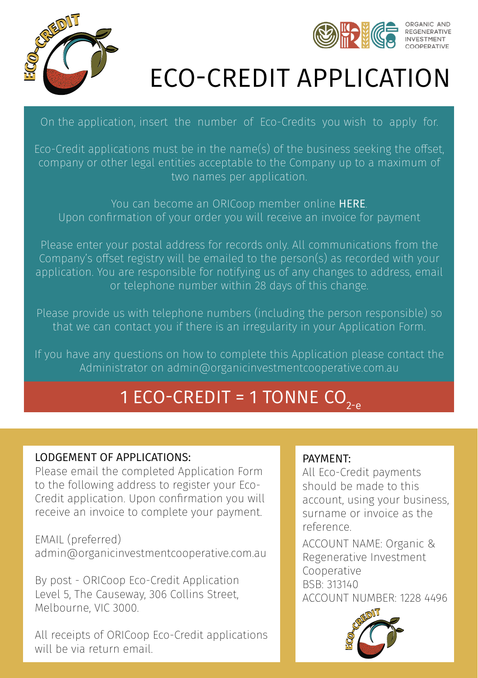



## ECO-CREDIT APPLICATION

On the application, insert the number of Eco-Credits you wish to apply for.

Eco-Credit applications must be in the name(s) of the business seeking the offset, company or other legal entities acceptable to the Company up to a maximum of two names per application.

You can become an ORICoop member online [HERE](http://www.organicinvestmentcooperative.com.au/). Upon confirmation of your order you will receive an invoice for payment

Please enter your postal address for records only. All communications from the Company's offset registry will be emailed to the person(s) as recorded with your application. You are responsible for notifying us of any changes to address, email or telephone number within 28 days of this change.

Please provide us with telephone numbers (including the person responsible) so that we can contact you if there is an irregularity in your Application Form.

If you have any questions on how to complete this Application please contact the Administrator on [admin@organicinvestmentcooperative.com.au](mailto:admin%40organicinvestmentcooperative.com.au?subject=I%20have%20a%20question%20about%20the%20Eco%20Credit%20Application%20Form)

## 1 ECO-CREDIT = 1 TONNE  $CO_{2-p}$

#### LODGEMENT OF APPLICATIONS:

Please email the completed Application Form to the following address to register your Eco-Credit application. Upon confirmation you will receive an invoice to complete your payment.

EMAIL (preferred) [admin@organicinvestmentcooperative.com.au](mailto:admin%40organicinvestmentcooperative.com.au%20%20?subject=Eco-Credit%20Application%20Form) 

By post - ORICoop Eco-Credit Application Level 5, The Causeway, 306 Collins Street, Melbourne, VIC 3000.

All receipts of ORICoop Eco-Credit applications will be via return email.

#### PAYMENT:

All Eco-Credit payments should be made to this account, using your business, surname or invoice as the reference.

ACCOUNT NAME: Organic & Regenerative Investment Cooperative BSB: 313140 ACCOUNT NUMBER: 1228 4496